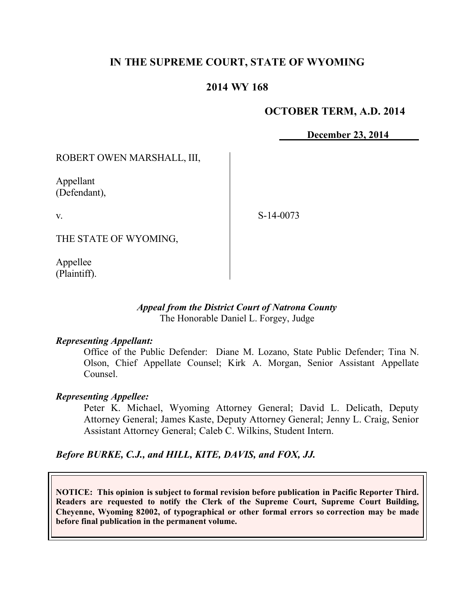# **IN THE SUPREME COURT, STATE OF WYOMING**

## **2014 WY 168**

### **OCTOBER TERM, A.D. 2014**

**December 23, 2014**

ROBERT OWEN MARSHALL, III,

Appellant (Defendant),

v.

S-14-0073

THE STATE OF WYOMING,

Appellee (Plaintiff).

### *Appeal from the District Court of Natrona County* The Honorable Daniel L. Forgey, Judge

#### *Representing Appellant:*

Office of the Public Defender: Diane M. Lozano, State Public Defender; Tina N. Olson, Chief Appellate Counsel; Kirk A. Morgan, Senior Assistant Appellate Counsel.

### *Representing Appellee:*

Peter K. Michael, Wyoming Attorney General; David L. Delicath, Deputy Attorney General; James Kaste, Deputy Attorney General; Jenny L. Craig, Senior Assistant Attorney General; Caleb C. Wilkins, Student Intern.

### *Before BURKE, C.J., and HILL, KITE, DAVIS, and FOX, JJ.*

**NOTICE: This opinion is subject to formal revision before publication in Pacific Reporter Third. Readers are requested to notify the Clerk of the Supreme Court, Supreme Court Building, Cheyenne, Wyoming 82002, of typographical or other formal errors so correction may be made before final publication in the permanent volume.**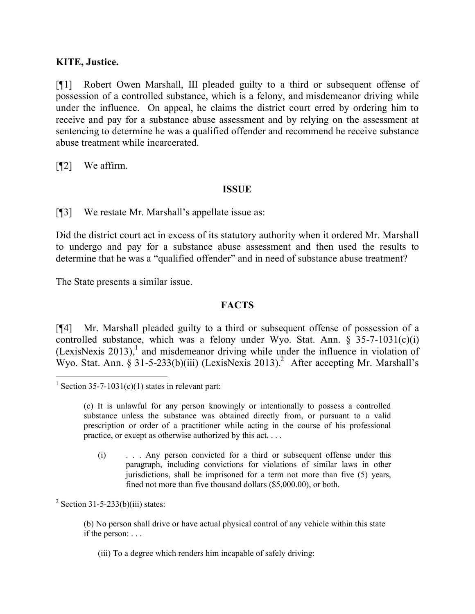## **KITE, Justice.**

[¶1] Robert Owen Marshall, III pleaded guilty to a third or subsequent offense of possession of a controlled substance, which is a felony, and misdemeanor driving while under the influence. On appeal, he claims the district court erred by ordering him to receive and pay for a substance abuse assessment and by relying on the assessment at sentencing to determine he was a qualified offender and recommend he receive substance abuse treatment while incarcerated.

[¶2] We affirm.

### **ISSUE**

[¶3] We restate Mr. Marshall's appellate issue as:

Did the district court act in excess of its statutory authority when it ordered Mr. Marshall to undergo and pay for a substance abuse assessment and then used the results to determine that he was a "qualified offender" and in need of substance abuse treatment?

The State presents a similar issue.

## **FACTS**

[¶4] Mr. Marshall pleaded guilty to a third or subsequent offense of possession of a controlled substance, which was a felony under Wyo. Stat. Ann.  $\S$  35-7-1031(c)(i)  $(LexiSNexis 2013)$ ,<sup>1</sup> and misdemeanor driving while under the influence in violation of Wyo. Stat. Ann.  $\hat{S}$  31-5-233(b)(iii) (LexisNexis 2013).<sup>2</sup> After accepting Mr. Marshall's

 $2$  Section 31-5-233(b)(iii) states:

(b) No person shall drive or have actual physical control of any vehicle within this state if the person: . . .

(iii) To a degree which renders him incapable of safely driving:

 <sup>1</sup> Section 35-7-1031(c)(1) states in relevant part:

<sup>(</sup>c) It is unlawful for any person knowingly or intentionally to possess a controlled substance unless the substance was obtained directly from, or pursuant to a valid prescription or order of a practitioner while acting in the course of his professional practice, or except as otherwise authorized by this act. . . .

<sup>(</sup>i) . . . Any person convicted for a third or subsequent offense under this paragraph, including convictions for violations of similar laws in other jurisdictions, shall be imprisoned for a term not more than five (5) years, fined not more than five thousand dollars (\$5,000.00), or both.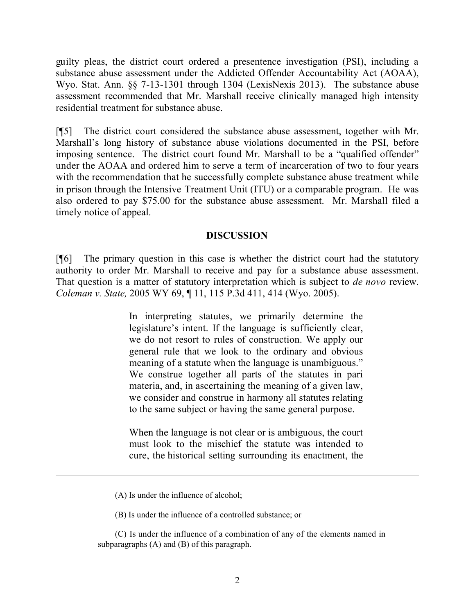guilty pleas, the district court ordered a presentence investigation (PSI), including a substance abuse assessment under the Addicted Offender Accountability Act (AOAA), Wyo. Stat. Ann. §§ 7-13-1301 through 1304 (LexisNexis 2013). The substance abuse assessment recommended that Mr. Marshall receive clinically managed high intensity residential treatment for substance abuse.

[¶5] The district court considered the substance abuse assessment, together with Mr. Marshall's long history of substance abuse violations documented in the PSI, before imposing sentence. The district court found Mr. Marshall to be a "qualified offender" under the AOAA and ordered him to serve a term of incarceration of two to four years with the recommendation that he successfully complete substance abuse treatment while in prison through the Intensive Treatment Unit (ITU) or a comparable program. He was also ordered to pay \$75.00 for the substance abuse assessment. Mr. Marshall filed a timely notice of appeal.

### **DISCUSSION**

[¶6] The primary question in this case is whether the district court had the statutory authority to order Mr. Marshall to receive and pay for a substance abuse assessment. That question is a matter of statutory interpretation which is subject to *de novo* review. *Coleman v. State,* 2005 WY 69, ¶ 11, 115 P.3d 411, 414 (Wyo. 2005).

> In interpreting statutes, we primarily determine the legislature's intent. If the language is sufficiently clear, we do not resort to rules of construction. We apply our general rule that we look to the ordinary and obvious meaning of a statute when the language is unambiguous." We construe together all parts of the statutes in pari materia, and, in ascertaining the meaning of a given law, we consider and construe in harmony all statutes relating to the same subject or having the same general purpose.

> When the language is not clear or is ambiguous, the court must look to the mischief the statute was intended to cure, the historical setting surrounding its enactment, the

 $\overline{a}$ 

(B) Is under the influence of a controlled substance; or

(C) Is under the influence of a combination of any of the elements named in subparagraphs (A) and (B) of this paragraph.

<sup>(</sup>A) Is under the influence of alcohol;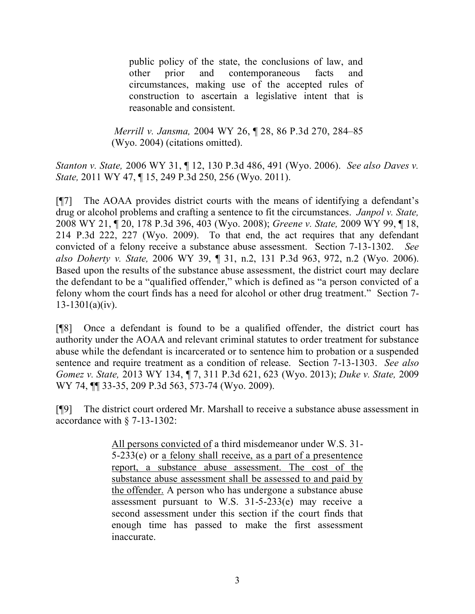public policy of the state, the conclusions of law, and other prior and contemporaneous facts and circumstances, making use of the accepted rules of construction to ascertain a legislative intent that is reasonable and consistent.

*Merrill v. Jansma,* 2004 WY 26, ¶ 28, 86 P.3d 270, 284–85 (Wyo. 2004) (citations omitted).

*Stanton v. State,* 2006 WY 31, ¶ 12, 130 P.3d 486, 491 (Wyo. 2006). *See also Daves v. State,* 2011 WY 47, ¶ 15, 249 P.3d 250, 256 (Wyo. 2011).

[¶7] The AOAA provides district courts with the means of identifying a defendant's drug or alcohol problems and crafting a sentence to fit the circumstances. *Janpol v. State,*  2008 WY 21, ¶ 20, 178 P.3d 396, 403 (Wyo. 2008); *Greene v. State,* 2009 WY 99, ¶ 18, 214 P.3d 222, 227 (Wyo. 2009). To that end, the act requires that any defendant convicted of a felony receive a substance abuse assessment. Section 7-13-1302. *See also Doherty v. State,* 2006 WY 39, ¶ 31, n.2, 131 P.3d 963, 972, n.2 (Wyo. 2006). Based upon the results of the substance abuse assessment, the district court may declare the defendant to be a "qualified offender," which is defined as "a person convicted of a felony whom the court finds has a need for alcohol or other drug treatment." Section 7- 13-1301(a)(iv).

[¶8] Once a defendant is found to be a qualified offender, the district court has authority under the AOAA and relevant criminal statutes to order treatment for substance abuse while the defendant is incarcerated or to sentence him to probation or a suspended sentence and require treatment as a condition of release. Section 7-13-1303. *See also Gomez v. State,* 2013 WY 134, ¶ 7, 311 P.3d 621, 623 (Wyo. 2013); *Duke v. State,* 2009 WY 74, ¶¶ 33-35, 209 P.3d 563, 573-74 (Wyo. 2009).

[¶9] The district court ordered Mr. Marshall to receive a substance abuse assessment in accordance with § 7-13-1302:

> All persons convicted of a third misdemeanor under W.S. 31- 5-233(e) or a felony shall receive, as a part of a presentence report, a substance abuse assessment. The cost of the substance abuse assessment shall be assessed to and paid by the offender. A person who has undergone a substance abuse assessment pursuant to W.S.  $31-5-233(e)$  may receive a second assessment under this section if the court finds that enough time has passed to make the first assessment inaccurate.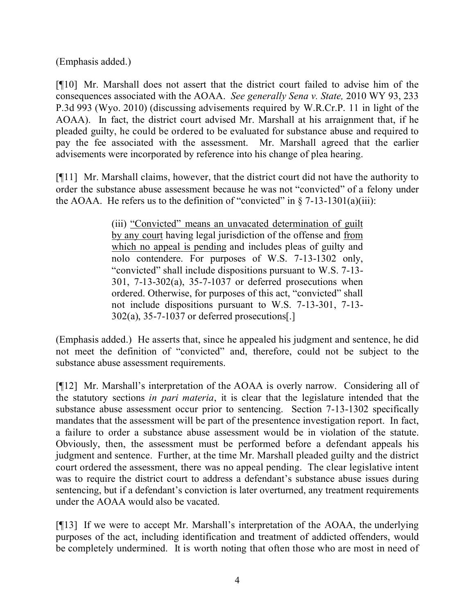(Emphasis added.)

[¶10] Mr. Marshall does not assert that the district court failed to advise him of the consequences associated with the AOAA. *See generally Sena v. State,* 2010 WY 93, 233 P.3d 993 (Wyo. 2010) (discussing advisements required by W.R.Cr.P. 11 in light of the AOAA). In fact, the district court advised Mr. Marshall at his arraignment that, if he pleaded guilty, he could be ordered to be evaluated for substance abuse and required to pay the fee associated with the assessment. Mr. Marshall agreed that the earlier advisements were incorporated by reference into his change of plea hearing.

[¶11] Mr. Marshall claims, however, that the district court did not have the authority to order the substance abuse assessment because he was not "convicted" of a felony under the AOAA. He refers us to the definition of "convicted" in  $\S$  7-13-1301(a)(iii):

> (iii) "Convicted" means an unvacated determination of guilt by any court having legal jurisdiction of the offense and from which no appeal is pending and includes pleas of guilty and nolo contendere. For purposes of W.S. 7-13-1302 only, "convicted" shall include dispositions pursuant to W.S. 7-13- 301, 7-13-302(a), 35-7-1037 or deferred prosecutions when ordered. Otherwise, for purposes of this act, "convicted" shall not include dispositions pursuant to W.S. 7-13-301, 7-13- 302(a), 35-7-1037 or deferred prosecutions[.]

(Emphasis added.) He asserts that, since he appealed his judgment and sentence, he did not meet the definition of "convicted" and, therefore, could not be subject to the substance abuse assessment requirements.

[¶12] Mr. Marshall's interpretation of the AOAA is overly narrow. Considering all of the statutory sections *in pari materia*, it is clear that the legislature intended that the substance abuse assessment occur prior to sentencing. Section 7-13-1302 specifically mandates that the assessment will be part of the presentence investigation report. In fact, a failure to order a substance abuse assessment would be in violation of the statute. Obviously, then, the assessment must be performed before a defendant appeals his judgment and sentence. Further, at the time Mr. Marshall pleaded guilty and the district court ordered the assessment, there was no appeal pending. The clear legislative intent was to require the district court to address a defendant's substance abuse issues during sentencing, but if a defendant's conviction is later overturned, any treatment requirements under the AOAA would also be vacated.

[¶13] If we were to accept Mr. Marshall's interpretation of the AOAA, the underlying purposes of the act, including identification and treatment of addicted offenders, would be completely undermined. It is worth noting that often those who are most in need of